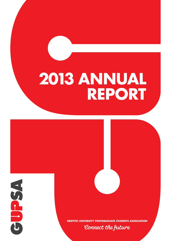### **2013 annual report**

**2013** 

**annual report**



**GRIFFITH OSTGRADUATE STUDENTS ASSOCIATION** 

Connect the future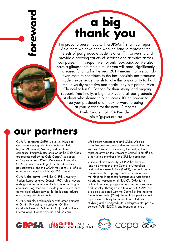# **a big thank you**

I'm proud to present you with GUPSA's first annual report. As a team we have been working hard to represent the interests of postgraduate students at Griffith University and provide a growing variety of services and activities across campuses. In this report we not only look back but we also have a glimpse into the future. As you will read, significantly increased funding for the year 2014 means that we can do even more to contribute to the best possible postgraduate student experience. I wish to take this opportunity to thank the university executive and particularly our patron, Vice-Chancellor Ian O'Connor, for their strong and ongoing support. And finally, a big thank you to all postgraduate students who shared in our success. It's an honour to be your president and I look forward to being at your service for the next 12 months. Niels Kraaier, GUPSA President niels@gupsa.org.au **our partners**<br> **our partners f** *ns* **interest**<br> **our partners**<br> **our partners**<br> **our partners**<br> **our partners**<br> **our partners** 

GUPSA represents Griffith University HDR and Coursework postgraduate students enrolled at Logan, Mt Gravatt, Nathan, and Southbank campuses. Postgraduates enrolled at the Gold Coast are represented by the Gold Coast Association of Postgraduates (GCAP). We closely liaise with GCAP on issues affecting all Griffith University postgraduates, and the GCAP President is ex officio, a non-voting member of the GUPSA committee.

GUPSA also partners with the Griffith University Student Representative Council (SRC), which covers undergraduate students at the Brisbane and Logan campuses. Together, we provide joint services, such as the legal advice service, for both postgraduate and undergraduate students.

GUPSA has close relationships with other elements of Griffith University; in particular, Griffith Graduate Research School (GGRS), postgraduate International Student Advisors, and Campus

Life Student Associations and Clubs. We also organise postgraduate student representatives on various University committees; the postgraduate representative on the University Council is ex officio, a non-voting member of the GUPSA committee.

Outside of the University, GUPSA has been a long-time member of the Council of Australian Postgraduate Associations (CAPA), the peak body that represents 33 postgraduate associations and the National Indigenous Postgraduate Association Aboriginal Association (NIPAAC). CAPA is the national voice on postgraduate issues to government and industry. Through our affiliation with CAPA, we are also associated with the Council of International Students Australia (CISA), the national peak student representative body for international students studying at the postgraduate, undergraduate, private college, TAFE, ELICOS, and foundation level.



GriffithUNIVERSITY Queensland College of Art

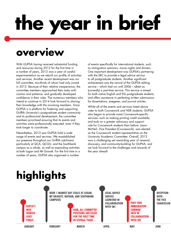# **the year in brief**

#### **overview**

With GUPSA having received substantial funding and resources during 2012 for the first time in a number of years, 2013 was a year of careful experimentation as we rebuilt our profile of activities and services. Another recent development was our full committee, two-thirds of whom had only joined in 2013. Because of their relative inexperience, the committee members approached their tasks with caution and patience, and gradually developed confidence in their roles. The numerous members who intend to continue in 2014 look forward to sharing their knowledge with the incoming members. Since GUPSA is a platform for fostering and supporting Griffith University's postgraduate student community and its professional development, the committee members prioritised ensuring that its events and activities were professionally executed, even if they took longer to coordinate.

Nevertheless, 2013 saw GUPSA hold a wide range of events and services. We re-established our presence throughout our Griffith catchment, particularly at QCA, QCGU, and the Southbank campus as a whole, as well as expanding activities at both Logan and Mt Gravatt. For the first time in a number of years, GUPSA also organised a number

of events specifically for international students, such as immigration seminars, movie nights and dinners. One important development was GUPSA's partnering with the SRC to provide a legal advice service to all postgraduate students. Another significant achievement was the revival of the GUPSA editing service – which had run until 2006 – albeit as (currently) a part-time service. This service is aimed for both native English and ESL postgraduate students, and offers assistance in perfecting written submissions for dissertations, exegeses, and journal articles.

While all of the events and services listed above cater to both Coursework and HDR students, GUPSA also began to provide some Coursework-specific services, such as making printing credit available, and took on a greater advocacy and support role for Coursework students than before. Jason McNeil, Vice President (Coursework), was elected as the Coursework student representative on the University Academic Committee. Overall, 2013 was a challenging yet rewarding year of renewal, discovery, and community-building for GUPSA, and we look forward to the challenges and rewards of the year ahead!

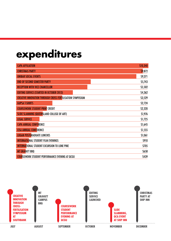#### **expenditures**

| <b>CAPA AFFILIATION</b>                                          | \$10,340      |
|------------------------------------------------------------------|---------------|
| <b>CHRISTMAS PARTY</b>                                           | \$9,872       |
| <b>UNIBAR SOCIAL EVENTS</b>                                      | \$9,371       |
| <b>END OF SECOND SEMESTER PARTY</b>                              | \$5,743       |
| <b>RECEPTION WITH VICE CHANCELLOR</b>                            | \$5,502       |
| <b>EDITING SERVICE (STARTED IN OCTOBER 2013)</b>                 | \$4,362       |
| <b>CREATIVE INNOVATION THROUGH CROSS-FERTILISATION SYMPOSIUM</b> | <b>S3,529</b> |
| <b>GUPSA T-SHIRTS</b>                                            | <b>S2,724</b> |
| <b>COURSEWORK STUDENT PRINT CREDIT</b>                           | \$2,320       |
| <b>SLIDE SLAMMING (QUEENSLAND COLLEGE OF ART)</b>                | \$1,976       |
| <b>LEGAL SERVICE</b>                                             | \$1,725       |
| <b>CAPA ANNUAL CONFERENCE</b>                                    | \$1,645       |
| <b>CISA ANNUAL CONFERENCE</b>                                    | \$1,555       |
| <b>LOGAN POSTGRADUATE LUNCHES</b>                                | \$1,061       |
| <b>INTERNATIONAL STUDENT FILM EVENINGS</b>                       | \$910         |
| <b>INTERNATIONAL STUDENT EXCURSION TO LONE PINE</b>              | \$705         |
| <b>MT GRAVATT BBQ</b>                                            | \$658         |
| <b>COURSEWORK STUDENT PERFORMANCE EVENING AT QCGU</b>            | \$439         |

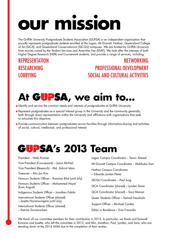# **our mission**

The Griffith University Postgraduate Students Association (GUPSA) is an independent organisation that proudly represents postgraduate students enrolled at the Logan, Mt Gravatt, Nathan, Queensland College of Art (QCA), and Queensland Conservatorium (QCGU) campuses. We are funded by Griffith University from monies raised by the Student Services and Amenities Fee (SSAF). We look after the interests of both Higher Degree Research (HDR) and Coursework students, and provide a range of services, including:

#### **REPRESENTATION RESEARCHING LOBBYING**

#### Networking Professional development Social and cultural activities



- $\bullet$  Identify and service the common needs and interests of postgraduates at Griffith University;
- Represent postgraduates as a special interest group in the University and the community generally, both through direct representation within the University and affiliations with organisations that seek to articulate this objective;
- **•** Provide communication between postgraduates across faculties through information-sharing and activities of social, cultural, intellectual, and professional interest.

#### **'s 2013 Team**

President – Niels Kraaier Vice President (Coursework) – Jason McNeil Vice President (Research) – Md. Zahirul Islam Treasurer – Min Jun Kim Honours Students Officer – Rumaisa Bilal (until July) Honours Students Officer – Mohammed Hayat (from August) Indigenous Students Officer – Jonathan Fabila International Students Officer (shared) – Josette Niyomwungere (until July) International Students Officer (shared) – Katrine Sonnenschein

Logan Campus Coordinator – Tanvir Ahmed Mt Gravatt Campus Coordinator – Mahbuba Sani Nathan Campus Coordinator – Eduardo Jordan Pérez QCGU Coordinator – Paul Jung QCA Coordinator (shared) – Lynden Stone QCA Coordinator (shared) – Sara Manser Queer Students Officer – Samad Naushahi Support Officer – Michael Carden Editor in Residence – Evie Franzidis

We thank all our committee members for their contribution in 2013. In particular, we thank and farewell Rumaisa and Josette, who left the committee in 2013, and Min, Jonathan, Paul, Lynden, and Sara, who are standing down at the 2014 AGM due to the completion of their studies.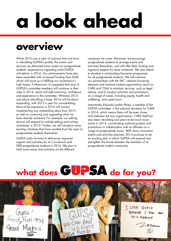# **a look ahead**

#### **overview**

While 2013 was a year of cautious trial and error in rebuilding GUPSA's profile, the events and services we delivered have raised our postgraduate students' expectations regarding what GUPSA will deliver in 2014. Our achievements have also been rewarded with increased funding from SSAF, which will assist us in fulfilling our constituency's high hopes. Furthermore, it's expected that most of GUPSA's committee members will continue in their roles in 2014, which will add continuity, confidence and experience to the committee. Whereas 2013 was about rebuilding a base, 2014 will be about expanding, with 2015 a year for consolidating. Most of the expansion in 2014 will involve implementing any outstanding plans from 2013, as well as continuing and upgrading what we have already achieved. For example, our editing service will expand to include editing and writing workshops in 2014. Further, we will introduce some exciting initiatives that have resulted from the input of postgraduate students themselves.

GUPSA looks forward to delivering improved support and activities for its Coursework and HDR postgraduate students in 2014. We plan to hold more events and activities on the different

campuses we cover. Moreover, we encourage postgraduate students to arrange events and activities themselves, and will offer them funding and logistical support for these initiatives. We also intend to develop a scholarships/bursaries programme for all postgraduate students. We will continue our partnerships with the SRC, relevant University elements and national student organisations (such as CAPA and CISA) to maintain services, such as legal advice, and to conduct activities and promotions on a range of issues, including equity, health and wellbeing, and supervision.

Importantly, Eduardo Jordan Pérez, a member of the GUPSA committee, is the national secretary for CAPA in 2014, which means there will be even closer links between the two organisations. CAPA itself has also been rebuilding and plans to be much more active in 2014, coordinating national projects and promotions in collaboration with its affiliates on a range of postgraduate issues. With many innovative events and activities planned, 2014 promises to be an exciting year in which GUPSA will expand and strengthen the bonds between the members of its postgraduate student community.

### what does GUPSA do for you?

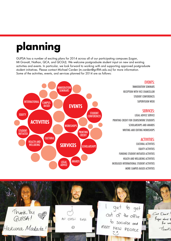### **planning**

GUPSA has a number of exciting plans for 2014 across all of our participating campuses (Logan, Mt Gravatt, Nathan, QCA, and QCGU). We welcome postgraduate student input on new and existing activities and events. In particular, we look forward to working with and supporting approved postgraduate student initiatives. Please contact Michael Carden (m.carden@griffith.edu.au) for more information. Some of the activities, events, and services planned for 2014 are as follows:



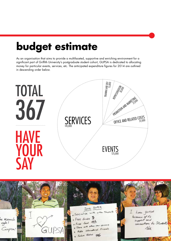### **budget estimate**

As an organisation that aims to provide a multifaceted, supportive and enriching environment for a significant part of Griffith University's postgraduate student cohort, GUPSA is dedicated to allocating money for particular events, services, etc. The anticipated expenditure figures for 2014 are outlined in descending order below.



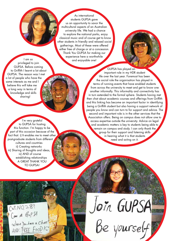As international students GUPSA gave us an opportunity to savor the multicultural aspects of an Australian university life. We had a chance to explore the national parks, enjoy classical music and of course get to know other students in friendly and relaxed social gatherings. Most of these were offered either free of charge or at a concession. Thank You GUPSA for making our experience here a worthwhile and enjoyable one!

I am so privileged to join GUPSA. Before coming to Griffith I learnt a lot about GUPSA. The reason was I met a lot of people who have the same interests as me and I believe this will take me a long way in terms of knowledge and skills sharing!

I'm very grateful to GUPSA for hosting this function. I'm happy to be part of this occasion because of the fact that: i) It enables me to meet other post-graduate students from different cultures and countries ii) Creating networks iii) Sharing of thoughts and ideas, iv) AND of course establishing relationships A GREAT THANK YOU TO GUPSA!

GUPSA has played an important role in my HDR student life over the last year. Foremost has been the social role the organisation has played in terms of running events that have enabled students from across the university to meet and get to know one another informally. This informality and connectivity has in turn extended to the formal sphere. Students having met then chat about academic courses and offerings from Griffith and this linking has become an important factor in identifying being a Griffith student but also having a support network of people you know and can turn to for support and advice. The second and important role is in the other services that the Association offers. Being on campus does not allow one to access expertise outside the university. Advice on legal and academic matters is key to students being able to remain on campus and study. I can only thank the group for their support and listening skills in hearing what it is that students need and acting on it.

Cut NO 289<br>Come # Gup SA<br>Where You have a Chat!<br>AND: FREE FOOD!

Join GUPSA